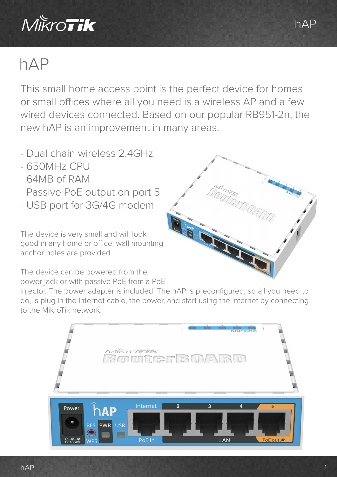

## hAP

This small home access point is the perfect device for homes or small offices where all you need is a wireless AP and a few wired devices connected. Based on our popular RB951-2n, the new hAP is an improvement in many areas.

- Dual chain wireless 2.4GHz
- 650MHz CPU
- 64MB of RAM
- Passive PoE output on port 5
- USB port for 3G/4G modem

The device is very small and will look good in any home or office, wall mounting anchor holes are provided.

The device can be powered from the power jack or with passive PoE from a PoE

injector. The power adapter is included. The hAP is preconfigured, so all you need to do, is plug in the internet cable, the power, and start using the internet by connecting to the MikroTik network.





1

hAP